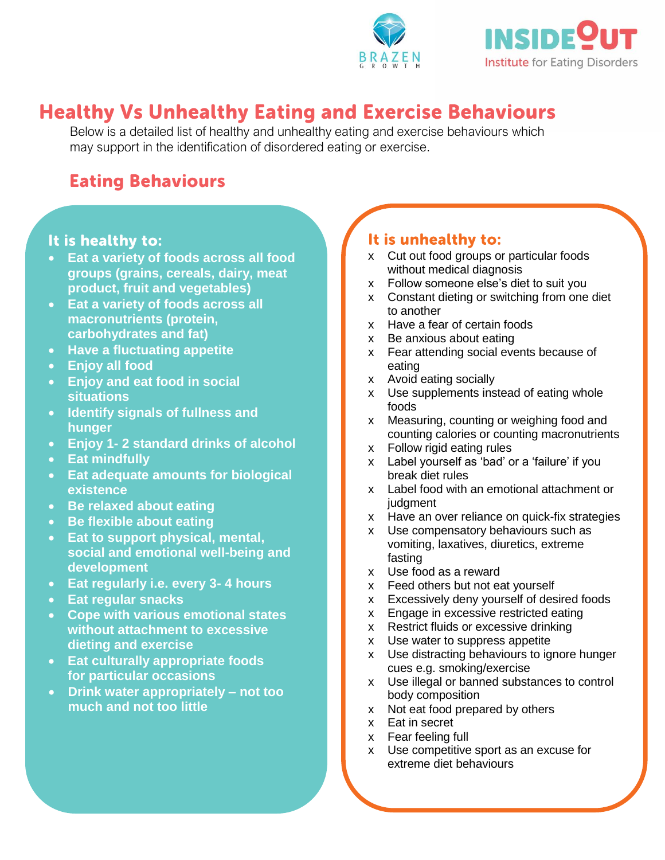



## **Healthy Vs Unhealthy Eating and Exercise Behaviours**

Below is a detailed list of healthy and unhealthy eating and exercise behaviours which may support in the identification of disordered eating or exercise.

# **Eating Behaviours**

#### It is healthy to:

- **Eat a variety of foods across all food groups (grains, cereals, dairy, meat product, fruit and vegetables)**
- **Eat a variety of foods across all macronutrients (protein, carbohydrates and fat)**
- **Have a fluctuating appetite**
- **Enjoy all food**
- **Enjoy and eat food in social situations**
- **Identify signals of fullness and hunger**
- **Enjoy 1- 2 standard drinks of alcohol**
- **Eat mindfully**
- **Eat adequate amounts for biological existence**
- **Be relaxed about eating**
- **Be flexible about eating**
- **Eat to support physical, mental, social and emotional well-being and development**
- **Eat regularly i.e. every 3- 4 hours**
- Eat regular snacks
- **Cope with various emotional states without attachment to excessive dieting and exercise**
- **Eat culturally appropriate foods for particular occasions**
- Drink water appropriately not too **body composition much and not too little**

### It is unhealthy to:

- x Cut out food groups or particular foods without medical diagnosis
- x Follow someone else's diet to suit you
- x Constant dieting or switching from one diet to another
- x Have a fear of certain foods
- x Be anxious about eating
- x Fear attending social events because of eating
- x Avoid eating socially
- x Use supplements instead of eating whole foods
- x Measuring, counting or weighing food and counting calories or counting macronutrients
- x Follow rigid eating rules
- x Label yourself as 'bad' or a 'failure' if you break diet rules
- x Label food with an emotional attachment or judgment
- x Have an over reliance on quick-fix strategies
- x Use compensatory behaviours such as vomiting, laxatives, diuretics, extreme fasting
- x Use food as a reward
- x Feed others but not eat yourself
- x Excessively deny yourself of desired foods
- x Engage in excessive restricted eating
- x Restrict fluids or excessive drinking
- x Use water to suppress appetite
- x Use distracting behaviours to ignore hunger cues e.g. smoking/exercise
- x Use illegal or banned substances to control body composition
- x Not eat food prepared by others
- x Eat in secret
- x Fear feeling full
- x Use competitive sport as an excuse for extreme diet behaviours